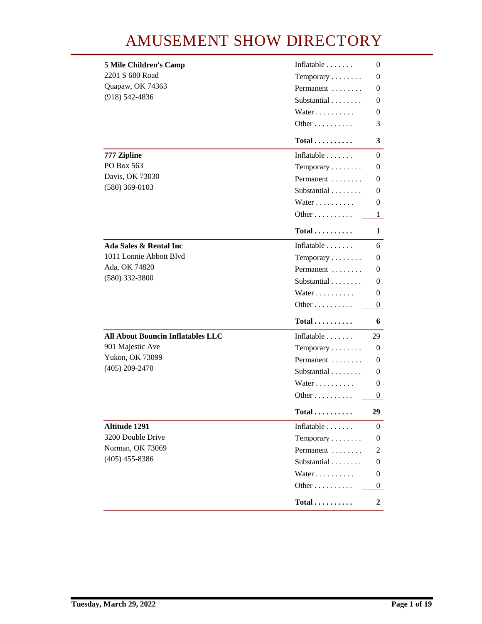## **AMUSEMENT SHOW DIRECTORY**

| <b>5 Mile Children's Camp</b>            | Inflatable                 | 0                |
|------------------------------------------|----------------------------|------------------|
| 2201 S 680 Road                          | Temporary                  | 0                |
| Quapaw, OK 74363                         | Permanent                  | 0                |
| $(918) 542 - 4836$                       | Substantial                | 0                |
|                                          | Water                      | 0                |
|                                          | Other                      | 3 <sup>1</sup>   |
|                                          | $Total \dots \dots \dots$  | 3                |
| 777 Zipline                              | Inflatable                 | 0                |
| PO Box 563                               | Temporary                  | 0                |
| Davis, OK 73030                          | Permanent                  | 0                |
| $(580)$ 369-0103                         | Substantial                | 0                |
|                                          | Water                      | 0                |
|                                          | Other $\dots \dots$        | $\mathbf{1}$     |
|                                          | $Total$                    | 1                |
| Ada Sales & Rental Inc                   | Inflatable $\ldots \ldots$ | 6                |
| 1011 Lonnie Abbott Blvd                  | Temporary                  | 0                |
| Ada, OK 74820                            | Permanent                  | 0                |
| $(580)$ 332-3800                         | Substantial                | 0                |
|                                          | Water                      | 0                |
|                                          | Other                      | 0                |
|                                          | $Total \ldots \ldots$      | 6                |
| <b>All About Bouncin Inflatables LLC</b> | Inflatable                 | 29               |
| 901 Majestic Ave                         | Temporary                  | 0                |
| <b>Yukon, OK 73099</b>                   | Permanent                  | 0                |
| $(405)$ 209-2470                         | Substantial                | 0                |
|                                          | Water                      | 0                |
|                                          | Other                      | 0                |
|                                          | $Total$                    | 29               |
| Altitude 1291                            | Inflatable                 | 0                |
| 3200 Double Drive                        | Temporary                  | 0                |
| <b>Norman, OK 73069</b>                  | Permanent                  | 2                |
| $(405)$ 455-8386                         | Substantial                | 0                |
|                                          | Water                      | 0                |
|                                          | Other                      | $\bf{0}$         |
|                                          | $Total$                    | $\boldsymbol{2}$ |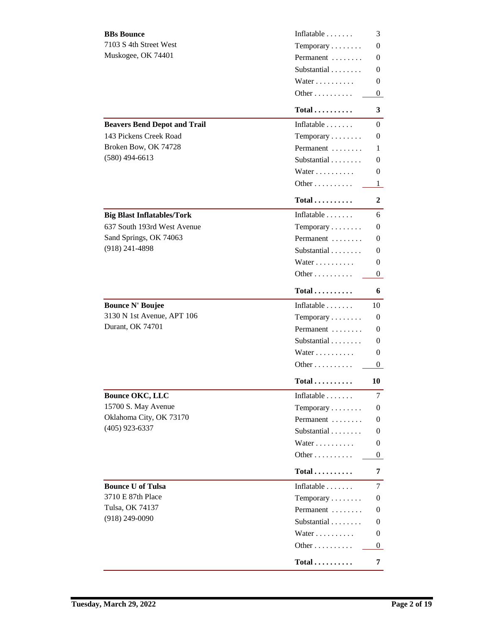| <b>BBs Bounce</b>                   | Inflatable                 | 3        |
|-------------------------------------|----------------------------|----------|
| 7103 S 4th Street West              | Temporary                  | 0        |
| Muskogee, OK 74401                  | Permanent                  | 0        |
|                                     | Substantial                | 0        |
|                                     | Water                      | 0        |
|                                     | Other                      | 0        |
|                                     | $Total \ldots \ldots$      | 3        |
| <b>Beavers Bend Depot and Trail</b> | Inflatable $\ldots \ldots$ | 0        |
| <b>143 Pickens Creek Road</b>       | Temporary                  | 0        |
| Broken Bow, OK 74728                | Permanent                  | 1        |
| $(580)$ 494-6613                    | Substantial                | 0        |
|                                     | Water                      | 0        |
|                                     | Other                      | 1        |
|                                     | $Total$                    | 2        |
| <b>Big Blast Inflatables/Tork</b>   | Inflatable $\ldots \ldots$ | 6        |
| 637 South 193rd West Avenue         | Temporary                  | 0        |
| Sand Springs, OK 74063              | Permanent                  | 0        |
| $(918)$ 241-4898                    | Substantial                | 0        |
|                                     | Water                      | 0        |
|                                     | Other                      | 0        |
|                                     | $Total \dots \dots \dots$  | 6        |
| <b>Bounce N' Boujee</b>             | Inflatable                 | 10       |
| 3130 N 1st Avenue, APT 106          | Temporary                  | 0        |
| <b>Durant, OK 74701</b>             | Permanent                  | 0        |
|                                     | Substantial                | 0        |
|                                     | Water                      | 0        |
|                                     | Other                      | 0        |
|                                     | Total $\ldots$             | 10       |
| <b>Bounce OKC, LLC</b>              | Inflatable                 | 7        |
| 15700 S. May Avenue                 | Temporary                  | 0        |
| Oklahoma City, OK 73170             | Permanent                  | 0        |
| $(405)$ 923-6337                    | Substantial                | 0        |
|                                     | Water                      | 0        |
|                                     | Other                      | $\bf{0}$ |
|                                     | $Total$                    | 7        |
| <b>Bounce U of Tulsa</b>            | Inflatable                 | 7        |
| <b>3710 E 87th Place</b>            | Temporary                  | 0        |
| <b>Tulsa, OK 74137</b>              | Permanent                  | 0        |
| $(918)$ 249-0090                    | Substantial                | 0        |
|                                     | Water                      | 0        |
|                                     | Other                      | $\bf{0}$ |
|                                     | $Total$                    | 7        |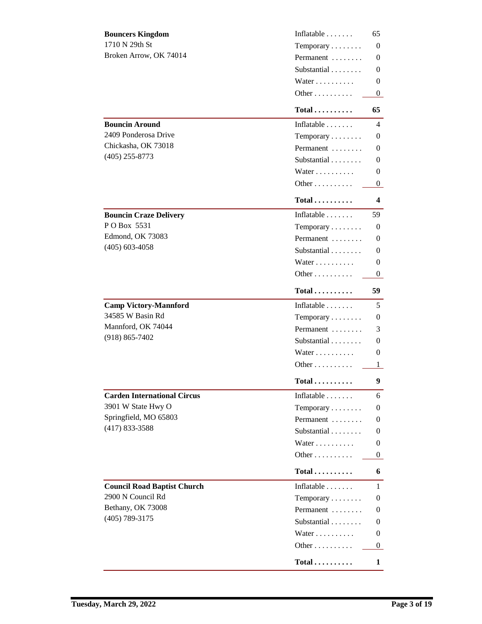| <b>Bouncers Kingdom</b>            | Inflatable                 | 65       |
|------------------------------------|----------------------------|----------|
| 1710 N 29th St                     | Temporary                  | 0        |
| Broken Arrow, OK 74014             | Permanent                  | 0        |
|                                    | Substantial                | 0        |
|                                    | Water                      | 0        |
|                                    | Other                      | $\bf{0}$ |
|                                    | $Total$                    | 65       |
| <b>Bouncin Around</b>              | Inflatable $\ldots$        | 4        |
| 2409 Ponderosa Drive               | Temporary                  | 0        |
| Chickasha, OK 73018                | Permanent                  | 0        |
| $(405)$ 255-8773                   | Substantial                | 0        |
|                                    | Water                      | 0        |
|                                    | Other                      | $\bf{0}$ |
|                                    | $Total \dots \dots \dots$  | 4        |
| <b>Bouncin Craze Delivery</b>      | Inflatable $\ldots \ldots$ | 59       |
| POBox 5531                         | Temporary                  | 0        |
| <b>Edmond, OK 73083</b>            | Permanent                  | 0        |
| $(405)$ 603-4058                   | Substantial                | 0        |
|                                    | Water                      | 0        |
|                                    | Other                      | $\bf{0}$ |
|                                    | $Total$                    | 59       |
| <b>Camp Victory-Mannford</b>       | Inflatable                 | 5        |
| 34585 W Basin Rd                   | Temporary                  | 0        |
| Mannford, OK 74044                 | Permanent                  | 3        |
| $(918) 865 - 7402$                 | Substantial                | 0        |
|                                    | Water                      | 0        |
|                                    | Other                      | 1        |
|                                    | Total                      | 9        |
| <b>Carden International Circus</b> | Inflatable                 | 6        |
| 3901 W State Hwy O                 | Temporary                  | 0        |
| Springfield, MO 65803              | Permanent                  | 0        |
| $(417) 833 - 3588$                 | Substantial                | 0        |
|                                    | Water                      | 0        |
|                                    | Other                      | 0        |
|                                    |                            |          |
|                                    | $Total$                    | 6        |
| <b>Council Road Baptist Church</b> | Inflatable $\ldots$        | 1        |
| 2900 N Council Rd                  | Temporary                  | 0        |
| Bethany, OK 73008                  | Permanent                  | 0        |
| $(405)$ 789-3175                   | Substantial                | 0        |
|                                    | Water                      | 0        |
|                                    | Other                      | 0        |
|                                    | $Total \dots \dots \dots$  | 1        |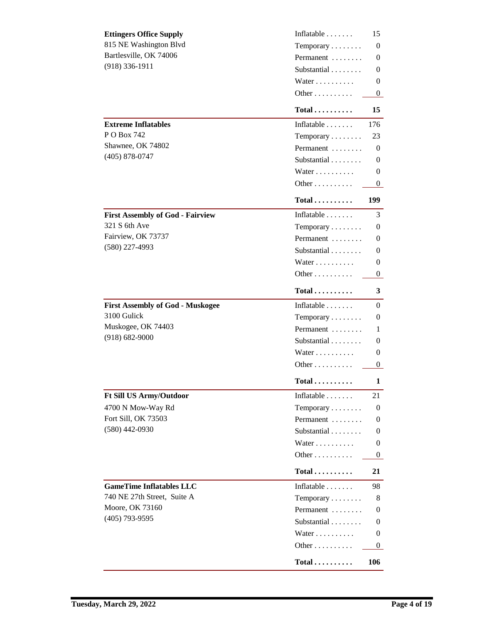| <b>Ettingers Office Supply</b>          | Inflatable                | 15       |
|-----------------------------------------|---------------------------|----------|
| 815 NE Washington Blvd                  | Temporary                 | 0        |
| Bartlesville, OK 74006                  | Permanent                 | 0        |
| $(918)$ 336-1911                        | Substantial               | 0        |
|                                         | Water                     | 0        |
|                                         | Other                     | $\bf{0}$ |
|                                         | $Total \ldots \ldots$     | 15       |
| <b>Extreme Inflatables</b>              | Inflatable                | 176      |
| <b>P O Box 742</b>                      | Temporary                 | 23       |
| Shawnee, OK 74802                       | Permanent                 | 0        |
| $(405) 878 - 0747$                      | Substantial               | 0        |
|                                         | Water                     | 0        |
|                                         | Other                     | $\bf{0}$ |
|                                         | $Total \dots \dots \dots$ | 199      |
| <b>First Assembly of God - Fairview</b> | Inflatable $\ldots$       | 3        |
| <b>321 S 6th Ave</b>                    | Temporary                 | 0        |
| Fairview, OK 73737                      | Permanent                 | 0        |
| $(580)$ 227-4993                        | Substantial               | 0        |
|                                         | Water                     | 0        |
|                                         | Other                     | $\bf{0}$ |
|                                         | $Total \ldots \ldots$     | 3        |
| <b>First Assembly of God - Muskogee</b> | Inflatable                | 0        |
| 3100 Gulick                             | Temporary                 | 0        |
| Muskogee, OK 74403                      | Permanent                 | 1        |
| $(918) 682 - 9000$                      | Substantial               | 0        |
|                                         | Water                     | 0        |
|                                         | Other                     | 0        |
|                                         | $Total \ldots \ldots$     | 1        |
| <b>Ft Sill US Army/Outdoor</b>          | Inflatable $\ldots$       | 21       |
| 4700 N Mow-Way Rd                       | Temporary                 | 0        |
| Fort Sill, OK 73503                     | Permanent                 | 0        |
| $(580)$ 442-0930                        | Substantial               | 0        |
|                                         | Water                     | 0        |
|                                         | Other                     | $\bf{0}$ |
|                                         | $Total$                   | 21       |
| <b>GameTime Inflatables LLC</b>         | Inflatable $\ldots$       | 98       |
| 740 NE 27th Street, Suite A             | Temporary                 | 8        |
| <b>Moore, OK 73160</b>                  | Permanent                 | 0        |
| $(405)$ 793-9595                        | Substantial               | 0        |
|                                         | Water                     | 0        |
|                                         | Other                     | 0        |
|                                         | $Total \dots \dots \dots$ | 106      |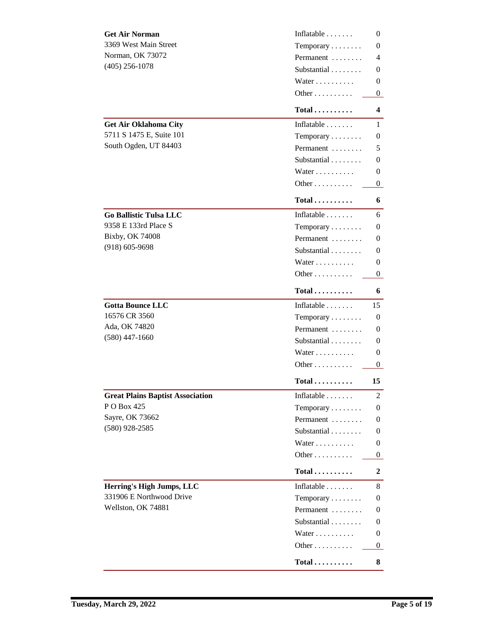| <b>Get Air Norman</b>                   | Inflatable                   | $\bf{0}$         |
|-----------------------------------------|------------------------------|------------------|
| 3369 West Main Street                   | Temporary                    | 0                |
| <b>Norman, OK 73072</b>                 | Permanent                    | 4                |
| $(405)$ 256-1078                        | Substantial                  | 0                |
|                                         | Water                        | 0                |
|                                         | Other                        | 0                |
|                                         | Total $\ldots$               | 4                |
| <b>Get Air Oklahoma City</b>            | Inflatable $\ldots$          | 1                |
| 5711 S 1475 E, Suite 101                | Temporary                    | 0                |
| South Ogden, UT 84403                   | Permanent                    | 5                |
|                                         | Substantial                  | 0                |
|                                         | Water                        | 0                |
|                                         | Other                        | $\bf{0}$         |
|                                         | $Total \dots \dots \dots$    | 6                |
| <b>Go Ballistic Tulsa LLC</b>           | Inflatable $\ldots \ldots$   | 6                |
| 9358 E 133rd Place S                    | Temporary                    | 0                |
| <b>Bixby, OK 74008</b>                  | Permanent                    | 0                |
| $(918) 605 - 9698$                      | Substantial                  | 0                |
|                                         | Water                        | 0                |
|                                         | Other                        | $\bf{0}$         |
|                                         | $Total \dots \dots \dots$    | 6                |
| <b>Gotta Bounce LLC</b>                 | Inflatable                   | 15               |
| 16576 CR 3560                           | Temporary                    | 0                |
| Ada, OK 74820                           | Permanent                    | 0                |
| $(580)$ 447-1660                        | Substantial                  | 0                |
|                                         | Water                        | 0                |
|                                         | Other                        | $\bf{0}$         |
|                                         | $Total \ldots \ldots \ldots$ | 15               |
| <b>Great Plains Baptist Association</b> | Inflatable $\ldots$          | $\boldsymbol{2}$ |
| PO Box 425                              | Temporary                    | 0                |
| Sayre, OK 73662                         | Permanent                    | 0                |
| $(580)$ 928-2585                        | Substantial                  | 0                |
|                                         | Water                        | 0                |
|                                         | Other                        | $\bf{0}$         |
|                                         | $Total$                      | 2                |
| Herring's High Jumps, LLC               | Inflatable $\ldots \ldots$   | 8                |
| 331906 E Northwood Drive                | Temporary                    | 0                |
| Wellston, OK 74881                      | Permanent                    | 0                |
|                                         | Substantial                  | 0                |
|                                         | Water                        | 0                |
|                                         | Other                        | $\bf{0}$         |
|                                         | $Total$                      | 8                |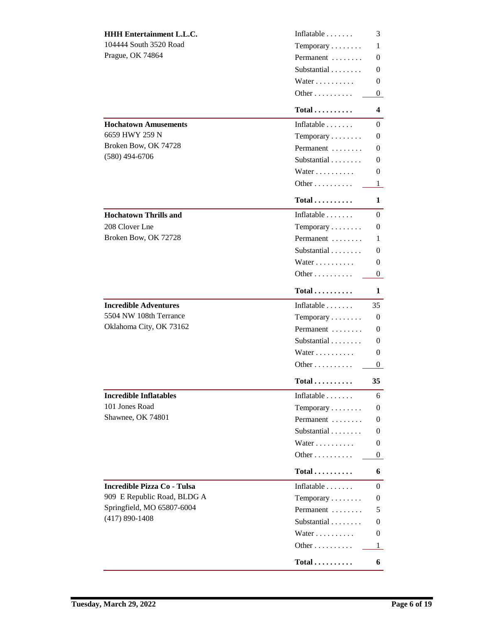| <b>HHH Entertainment L.L.C.</b>    | Inflatable                            | 3        |
|------------------------------------|---------------------------------------|----------|
| 104444 South 3520 Road             | Temporary                             | 1        |
| <b>Prague, OK 74864</b>            | Permanent                             | 0        |
|                                    | Substantial                           | 0        |
|                                    | Water                                 | 0        |
|                                    | Other                                 | $\bf{0}$ |
|                                    | $Total \dots \dots \dots$             | 4        |
| <b>Hochatown Amusements</b>        | Inflatable $\ldots \ldots$            | 0        |
| 6659 HWY 259 N                     | Temporary                             | 0        |
| Broken Bow, OK 74728               | Permanent                             | 0        |
| $(580)$ 494-6706                   | Substantial                           | 0        |
|                                    | Water                                 | 0        |
|                                    | Other                                 | 1        |
|                                    | $Total \dots \dots$                   | 1        |
| <b>Hochatown Thrills and</b>       | Inflatable                            | 0        |
| 208 Clover Lne                     | Temporary                             | 0        |
| Broken Bow, OK 72728               | Permanent                             | 1        |
|                                    | Substantial                           | 0        |
|                                    | Water                                 | 0        |
|                                    | Other                                 | $\bf{0}$ |
|                                    | $Total \dots \dots \dots$             | 1        |
| <b>Incredible Adventures</b>       | Inflatable                            | 35       |
| 5504 NW 108th Terrance             | Temporary                             | 0        |
| Oklahoma City, OK 73162            | Permanent                             | 0        |
|                                    | Substantial                           | 0        |
|                                    | Water                                 | 0        |
|                                    | Other                                 | $\bf{0}$ |
|                                    | $\operatorname{Total}\dots\dots\dots$ | 35       |
| <b>Incredible Inflatables</b>      | Inflatable $\ldots \ldots$            | 6        |
| 101 Jones Road                     | Temporary                             | 0        |
| Shawnee, OK 74801                  | Permanent                             | 0        |
|                                    | Substantial                           | 0        |
|                                    | Water                                 | 0        |
|                                    | Other                                 | 0        |
|                                    | $Total \dots \dots \dots$             | 6        |
| <b>Incredible Pizza Co - Tulsa</b> | Inflatable                            | 0        |
| 909 E Republic Road, BLDG A        | Temporary                             | 0        |
| Springfield, MO 65807-6004         | Permanent                             | 5        |
| $(417) 890 - 1408$                 | Substantial                           | 0        |
|                                    | Water                                 | 0        |
|                                    | Other                                 | 1        |
|                                    | $Total \ldots \ldots$                 | 6        |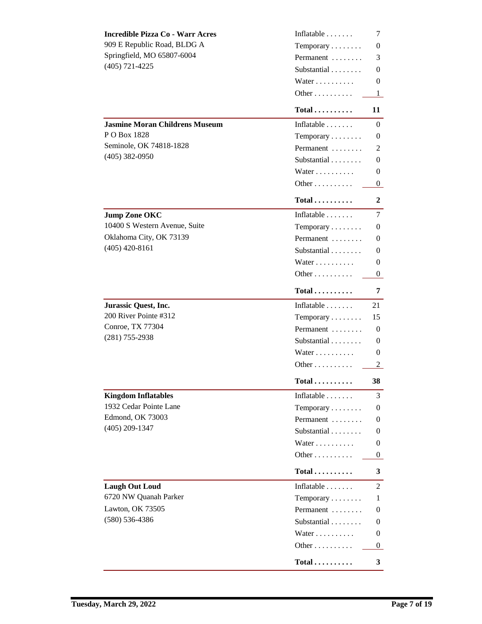| <b>Incredible Pizza Co - Warr Acres</b> | Inflatable                   | 7                |
|-----------------------------------------|------------------------------|------------------|
| 909 E Republic Road, BLDG A             | Temporary                    | 0                |
| Springfield, MO 65807-6004              | Permanent                    | 3                |
| $(405)$ 721-4225                        | Substantial                  | 0                |
|                                         | Water                        | 0                |
|                                         | Other                        | 1                |
|                                         | $Total \ldots \ldots$        | 11               |
| <b>Jasmine Moran Childrens Museum</b>   | Inflatable $\ldots \ldots$   | 0                |
| P O Box 1828                            | Temporary                    | 0                |
| Seminole, OK 74818-1828                 | Permanent                    | 2                |
| $(405)$ 382-0950                        | Substantial                  | 0                |
|                                         | Water                        | 0                |
|                                         | Other                        | 0                |
|                                         | $Total \dots \dots \dots$    | 2                |
| <b>Jump Zone OKC</b>                    | Inflatable                   | 7                |
| 10400 S Western Avenue, Suite           | Temporary                    | 0                |
| Oklahoma City, OK 73139                 | Permanent                    | 0                |
| $(405)$ 420-8161                        | Substantial                  | 0                |
|                                         | Water                        | 0                |
|                                         | Other                        | 0                |
|                                         | $Total$                      | 7                |
| <b>Jurassic Quest, Inc.</b>             | Inflatable $\ldots$          | 21               |
| 200 River Pointe #312                   | Temporary                    | 15               |
| <b>Conroe, TX 77304</b>                 | Permanent                    | 0                |
| $(281)$ 755-2938                        | Substantial                  | 0                |
|                                         | Water                        | 0                |
|                                         | Other                        | $\boldsymbol{2}$ |
|                                         | $Total \ldots \ldots \ldots$ | 38               |
| <b>Kingdom Inflatables</b>              | Inflatable                   | 3                |
| 1932 Cedar Pointe Lane                  | Temporary                    | 0                |
| <b>Edmond, OK 73003</b>                 | Permanent                    | 0                |
| $(405)$ 209-1347                        | Substantial                  | 0                |
|                                         | Water                        | 0                |
|                                         | Other $\dots \dots \dots$    | 0                |
|                                         | $Total$                      | 3                |
| <b>Laugh Out Loud</b>                   | Inflatable $\ldots \ldots$   | $\mathbf{2}$     |
| 6720 NW Quanah Parker                   | Temporary                    | 1                |
| <b>Lawton, OK 73505</b>                 | Permanent                    | 0                |
| $(580) 536-4386$                        | Substantial                  | 0                |
|                                         | Water                        | 0                |
|                                         | Other                        | $\bf{0}$         |
|                                         | $Total \dots \dots \dots$    | 3                |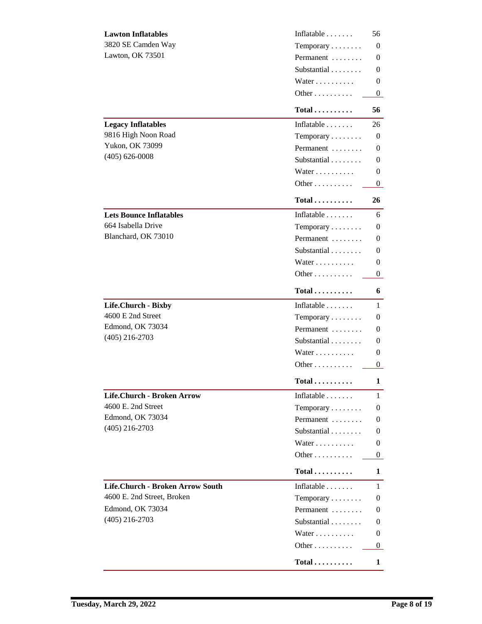| <b>Lawton Inflatables</b>         | Inflatable                | 56           |
|-----------------------------------|---------------------------|--------------|
| 3820 SE Camden Way                | Temporary                 | 0            |
| <b>Lawton, OK 73501</b>           | Permanent                 | 0            |
|                                   | Substantial               | 0            |
|                                   | Water                     | 0            |
|                                   | Other                     | $\bf{0}$     |
|                                   | $Total$                   | 56           |
| <b>Legacy Inflatables</b>         | Inflatable $\ldots$       | 26           |
| 9816 High Noon Road               | Temporary                 | 0            |
| <b>Yukon, OK 73099</b>            | Permanent                 | 0            |
| $(405) 626 - 0008$                | Substantial               | 0            |
|                                   | Water                     | 0            |
|                                   | Other                     | $\bf{0}$     |
|                                   | Total                     | 26           |
| <b>Lets Bounce Inflatables</b>    | Inflatable $\ldots$       | 6            |
| 664 Isabella Drive                | Temporary                 | 0            |
| Blanchard, OK 73010               | Permanent                 | 0            |
|                                   | Substantial               | 0            |
|                                   | Water                     | 0            |
|                                   | Other                     | 0            |
|                                   | $Total \dots \dots \dots$ | 6            |
| Life.Church - Bixby               | Inflatable                | 1            |
| 4600 E 2nd Street                 | Temporary                 | 0            |
| <b>Edmond, OK 73034</b>           | Permanent                 | 0            |
| $(405)$ 216-2703                  | Substantial               | 0            |
|                                   |                           |              |
|                                   | Water                     | 0            |
|                                   | Other                     | 0            |
|                                   | Total                     | 1            |
| <b>Life.Church - Broken Arrow</b> | Inflatable                | $\mathbf{1}$ |
| 4600 E. 2nd Street                | Temporary                 | 0            |
| <b>Edmond, OK 73034</b>           | Permanent                 | 0            |
| $(405)$ 216-2703                  | Substantial               | 0            |
|                                   | Water                     | 0            |
|                                   | Other                     | 0            |
|                                   | Total                     | 1            |
| Life.Church - Broken Arrow South  | Inflatable $\ldots$       | 1            |
| 4600 E. 2nd Street, Broken        | Temporary                 | 0            |
| <b>Edmond, OK 73034</b>           | Permanent                 | 0            |
| $(405)$ 216-2703                  | Substantial               | 0            |
|                                   | Water                     | 0            |
|                                   | Other                     |              |
|                                   |                           | 0            |
|                                   | $Total \dots \dots \dots$ | 1            |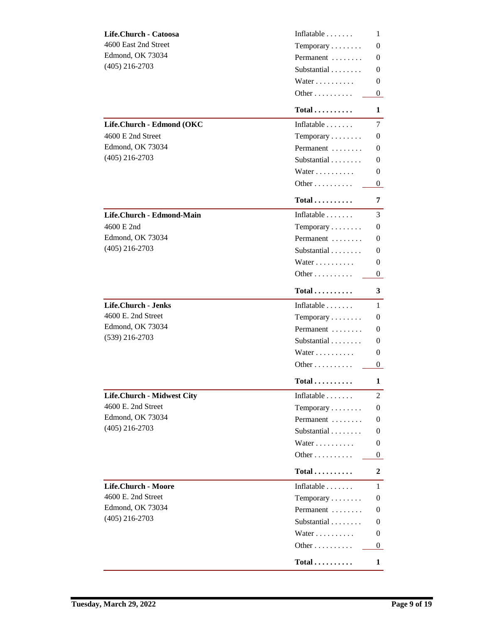| Life.Church - Catoosa      | Inflatable                 | 1              |
|----------------------------|----------------------------|----------------|
| 4600 East 2nd Street       | Temporary                  | 0              |
| <b>Edmond, OK 73034</b>    | Permanent                  | 0              |
| $(405)$ 216-2703           | Substantial                | 0              |
|                            | Water                      | 0              |
|                            | Other                      | $\bf{0}$       |
|                            | $Total \ldots \ldots$      | 1              |
| Life.Church - Edmond (OKC  | Inflatable $\ldots$        | 7              |
| 4600 E 2nd Street          | Temporary                  | 0              |
| <b>Edmond, OK 73034</b>    | Permanent                  | 0              |
| $(405)$ 216-2703           | Substantial                | 0              |
|                            | Water                      | 0              |
|                            | Other                      | $\bf{0}$       |
|                            | Total                      | 7              |
| Life.Church - Edmond-Main  | Inflatable $\ldots \ldots$ | 3              |
| 4600 E 2nd                 | Temporary                  | 0              |
| <b>Edmond, OK 73034</b>    | Permanent                  | 0              |
| $(405)$ 216-2703           | Substantial                | 0              |
|                            | Water                      | 0              |
|                            | Other $\dots$              | 0              |
|                            | $Total \ldots \ldots$      | 3              |
| <b>Life.Church - Jenks</b> | Inflatable $\ldots \ldots$ | 1              |
| 4600 E. 2nd Street         | Temporary                  | 0              |
| <b>Edmond, OK 73034</b>    | Permanent                  | 0              |
| $(539)$ 216-2703           | Substantial                | 0              |
|                            | Water                      | 0              |
|                            | Other                      | $\bf{0}$       |
|                            | $Total \dots \dots \dots$  | 1              |
| Life.Church - Midwest City | Inflatable                 | $\overline{2}$ |
| 4600 E. 2nd Street         | Temporary                  | 0              |
| <b>Edmond, OK 73034</b>    | Permanent                  | 0              |
| $(405)$ 216-2703           | Substantial                | 0              |
|                            | Water                      | 0              |
|                            | Other                      | 0              |
|                            | $Total \dots \dots \dots$  | $\overline{2}$ |
| Life.Church - Moore        | Inflatable $\ldots$        | 1              |
| 4600 E. 2nd Street         | Temporary                  | 0              |
| <b>Edmond, OK 73034</b>    | Permanent                  | 0              |
| $(405)$ 216-2703           | Substantial                | 0              |
|                            | Water                      | $\bf{0}$       |
|                            | Other                      | $\bf{0}$       |
|                            | $Total \dots \dots \dots$  | 1              |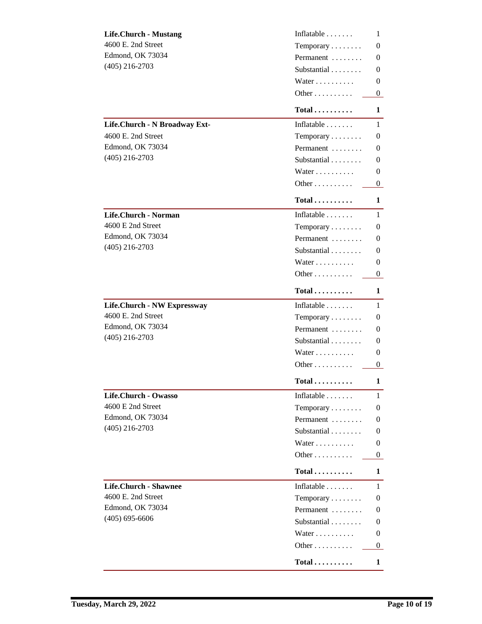| <b>Life.Church - Mustang</b>  | Inflatable                 | 1        |
|-------------------------------|----------------------------|----------|
| 4600 E. 2nd Street            | Temporary                  | 0        |
| <b>Edmond, OK 73034</b>       | Permanent                  | 0        |
| $(405)$ 216-2703              | Substantial                | 0        |
|                               | Water                      | 0        |
|                               | Other                      | $\bf{0}$ |
|                               | $Total \ldots \ldots$      | 1        |
| Life.Church - N Broadway Ext- | Inflatable $\ldots \ldots$ | 1        |
| 4600 E. 2nd Street            | Temporary                  | 0        |
| <b>Edmond, OK 73034</b>       | Permanent                  | 0        |
| $(405)$ 216-2703              | Substantial                | 0        |
|                               | Water                      | 0        |
|                               | Other                      | 0        |
|                               | Total                      | 1        |
| Life.Church - Norman          | Inflatable $\ldots \ldots$ | 1        |
| 4600 E 2nd Street             | Temporary                  | 0        |
| <b>Edmond, OK 73034</b>       | Permanent                  | 0        |
| $(405)$ 216-2703              | Substantial                | 0        |
|                               | Water                      | 0        |
|                               | Other                      | $\bf{0}$ |
|                               | $Total \dots \dots \dots$  | 1        |
| Life.Church - NW Expressway   | Inflatable $\ldots \ldots$ | 1        |
| 4600 E. 2nd Street            | Temporary                  | 0        |
| <b>Edmond, OK 73034</b>       | Permanent                  | 0        |
| $(405)$ 216-2703              | Substantial                | 0        |
|                               | Water                      | 0        |
|                               | Other                      | $\bf{0}$ |
|                               | $Total \ldots \ldots$      | 1        |
| Life.Church - Owasso          | Inflatable                 | 1        |
| 4600 E 2nd Street             | Temporary                  | 0        |
| <b>Edmond, OK 73034</b>       | Permanent                  | 0        |
| $(405)$ 216-2703              | Substantial                | 0        |
|                               | Water                      | 0        |
|                               | Other                      | 0        |
|                               | $Total \dots \dots \dots$  | 1        |
| <b>Life.Church - Shawnee</b>  | Inflatable $\ldots \ldots$ | 1        |
| 4600 E. 2nd Street            | Temporary                  | $\bf{0}$ |
| <b>Edmond, OK 73034</b>       | Permanent                  | 0        |
| $(405) 695 - 6606$            | Substantial                | 0        |
|                               | Water                      | $\bf{0}$ |
|                               | Other                      | $\bf{0}$ |
|                               | $Total \dots \dots \dots$  | 1        |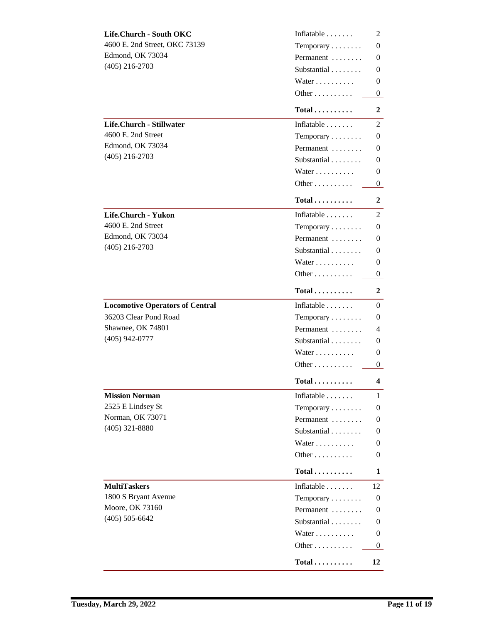| Life.Church - South OKC                | Inflatable $\ldots$              | 2            |
|----------------------------------------|----------------------------------|--------------|
| 4600 E. 2nd Street, OKC 73139          | Temporary                        | 0            |
| <b>Edmond, OK 73034</b>                | Permanent                        | 0            |
| $(405)$ 216-2703                       | Substantial                      | 0            |
|                                        | Water                            | 0            |
|                                        | Other                            | $\bf{0}$     |
|                                        | $Total \ldots \ldots$            | 2            |
| Life.Church - Stillwater               | Inflatable                       | 2            |
| 4600 E. 2nd Street                     | $Temporary \ldots \ldots$        | 0            |
| <b>Edmond, OK 73034</b>                | Permanent                        | 0            |
| $(405)$ 216-2703                       | Substantial                      | 0            |
|                                        | Water                            | 0            |
|                                        | Other                            | 0            |
|                                        | $Total \dots \dots \dots$        | 2            |
| Life.Church - Yukon                    | Inflatable $\ldots \ldots$       | $\mathbf{2}$ |
| 4600 E. 2nd Street                     | Temporary                        | 0            |
| <b>Edmond, OK 73034</b>                | Permanent                        | 0            |
| $(405)$ 216-2703                       | Substantial                      | 0            |
|                                        | Water                            | 0            |
|                                        | Other                            | $\bf{0}$     |
|                                        | $Total \dots \dots \dots$        | 2            |
| <b>Locomotive Operators of Central</b> | Inflatable                       | 0            |
| 36203 Clear Pond Road                  | Temporary                        | 0            |
| Shawnee, OK 74801                      | Permanent                        | 4            |
| $(405)$ 942-0777                       | Substantial                      | 0            |
|                                        | Water                            | 0            |
|                                        | Other                            | 0            |
|                                        | $Total \ldots \ldots$            | 4            |
| <b>Mission Norman</b>                  | Inflatable $\ldots$              | $\mathbf{1}$ |
| 2525 E Lindsey St                      | Temporary                        | 0            |
| <b>Norman, OK 73071</b>                | Permanent                        | 0            |
| $(405)$ 321-8880                       | Substantial                      | 0            |
|                                        | Water                            | 0            |
|                                        | Other                            | $\bf{0}$     |
|                                        | $Total \dots \dots \dots$        | 1            |
| <b>MultiTaskers</b>                    | Inflatable $\ldots$              | 12           |
| 1800 S Bryant Avenue                   | Temporary                        | 0            |
| <b>Moore, OK 73160</b>                 | Permanent                        | $\bf{0}$     |
| $(405) 505 - 6642$                     | Substantial                      | 0            |
|                                        | Water                            | 0            |
|                                        | Other                            | $\bf{0}$     |
|                                        | $\text{Total}\dots\dots\dots\,.$ | 12           |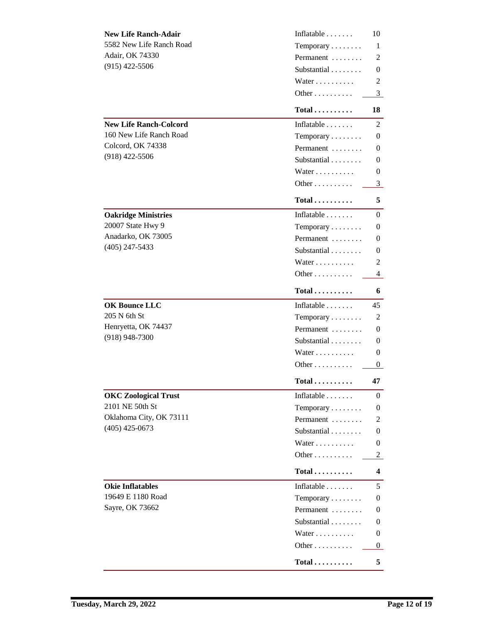| <b>New Life Ranch-Adair</b>   | Inflatable                 | 10             |
|-------------------------------|----------------------------|----------------|
| 5582 New Life Ranch Road      | Temporary                  | 1              |
| <b>Adair, OK 74330</b>        | Permanent                  | 2              |
| $(915)$ 422-5506              | Substantial                | 0              |
|                               | Water                      | 2              |
|                               | Other                      | 3              |
|                               | $Total$                    | 18             |
| <b>New Life Ranch-Colcord</b> | Inflatable $\ldots \ldots$ | 2              |
| 160 New Life Ranch Road       | Temporary                  | 0              |
| <b>Colcord, OK 74338</b>      | Permanent                  | 0              |
| $(918)$ 422-5506              | Substantial                | 0              |
|                               | Water                      | 0              |
|                               | Other                      | 3              |
|                               | Total                      | 5              |
| <b>Oakridge Ministries</b>    | Inflatable $\ldots \ldots$ | 0              |
| <b>20007 State Hwy 9</b>      | Temporary                  | 0              |
| Anadarko, OK 73005            | Permanent                  | 0              |
| $(405)$ 247-5433              | Substantial                | 0              |
|                               | Water                      | 2              |
|                               | Other                      | 4              |
|                               | $Total$                    | 6              |
| <b>OK Bounce LLC</b>          | Inflatable $\ldots \ldots$ | 45             |
| 205 N 6th St                  | Temporary                  | $\overline{2}$ |
| Henryetta, OK 74437           | Permanent                  | 0              |
| $(918)$ 948-7300              | Substantial                | 0              |
|                               | Water                      | 0              |
|                               | Other                      | $\bf{0}$       |
|                               | $Total \dots \dots \dots$  | 47             |
| <b>OKC Zoological Trust</b>   | Inflatable                 | 0              |
| 2101 NE 50th St               | Temporary                  | 0              |
| Oklahoma City, OK 73111       | Permanent                  | 2              |
| $(405)$ 425-0673              | Substantial                | 0              |
|                               | Water                      | 0              |
|                               | Other                      | 2              |
|                               | $Total$                    | 4              |
| <b>Okie Inflatables</b>       | Inflatable $\ldots$        | 5              |
| 19649 E 1180 Road             | Temporary                  | 0              |
| Sayre, OK 73662               | Permanent                  | 0              |
|                               | Substantial                | 0              |
|                               | Water                      | 0              |
|                               | Other                      | $\bf{0}$       |
|                               | $Total$                    | 5              |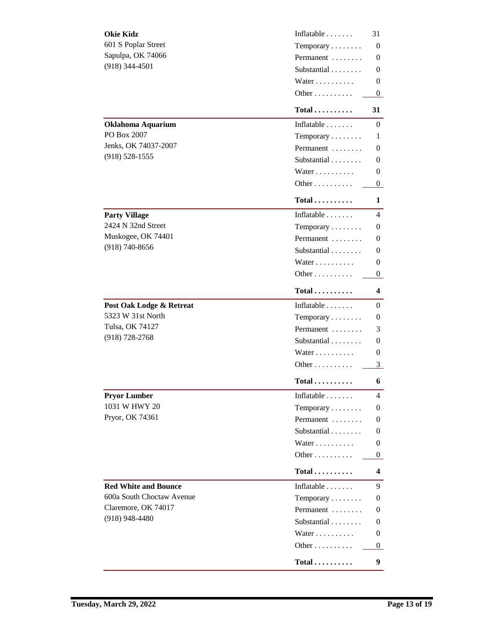| <b>Okie Kidz</b>                 | Inflatable                   | 31       |
|----------------------------------|------------------------------|----------|
| <b>601 S Poplar Street</b>       | Temporary                    | 0        |
| Sapulpa, OK 74066                | Permanent                    | 0        |
| $(918)$ 344-4501                 | Substantial                  | 0        |
|                                  | Water                        | 0        |
|                                  | Other                        | $\bf{0}$ |
|                                  | $Total \dots \dots \dots$    | 31       |
| <b>Oklahoma Aquarium</b>         | Inflatable $\ldots \ldots$   | 0        |
| PO Box 2007                      | Temporary                    | 1        |
| Jenks, OK 74037-2007             | Permanent                    | 0        |
| $(918) 528 - 1555$               | Substantial                  | 0        |
|                                  | Water                        | 0        |
|                                  | Other                        | $\bf{0}$ |
|                                  | $Total \dots \dots \dots$    | 1        |
| <b>Party Village</b>             | Inflatable $\ldots \ldots$   | 4        |
| 2424 N 32nd Street               | Temporary                    | 0        |
| Muskogee, OK 74401               | Permanent                    | 0        |
| $(918) 740 - 8656$               | Substantial                  | 0        |
|                                  | Water                        | 0        |
|                                  | Other                        | $\bf{0}$ |
|                                  | $Total$                      | 4        |
| Post Oak Lodge & Retreat         | Inflatable                   | 0        |
| 5323 W 31st North                | Temporary                    | 0        |
| <b>Tulsa, OK 74127</b>           | Permanent                    | 3        |
| $(918) 728 - 2768$               | Substantial                  | 0        |
|                                  | Water                        | 0        |
|                                  | Other                        | 3        |
|                                  | Total                        | 6        |
| <b>Pryor Lumber</b>              | Inflatable                   | 4        |
| 1031 W HWY 20                    | Temporary                    | 0        |
| Pryor, OK 74361                  | Permanent                    | 0        |
|                                  | Substantial                  | 0        |
|                                  | Water                        | 0        |
|                                  | Other                        | 0        |
|                                  | $Total \dots \dots \dots$    | 4        |
| <b>Red White and Bounce</b>      | Inflatable                   | 9        |
| <b>600a South Choctaw Avenue</b> | Temporary                    | 0        |
| Claremore, OK 74017              | Permanent                    | 0        |
| $(918)$ 948-4480                 | Substantial                  | 0        |
|                                  | Water                        | 0        |
|                                  | Other                        | 0        |
|                                  | $Total \ldots \ldots \ldots$ | 9        |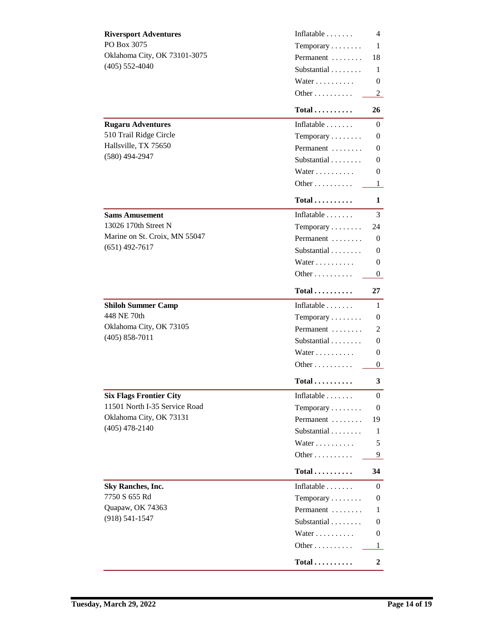| <b>Riversport Adventures</b>   | Inflatable                | 4        |
|--------------------------------|---------------------------|----------|
| PO Box 3075                    | Temporary                 | 1        |
| Oklahoma City, OK 73101-3075   | Permanent                 | 18       |
| $(405) 552 - 4040$             | Substantial               | 1        |
|                                | Water                     | 0        |
|                                | Other                     | 2        |
|                                | $Total$                   | 26       |
| <b>Rugaru Adventures</b>       | Inflatable                | $\bf{0}$ |
| 510 Trail Ridge Circle         | Temporary                 | 0        |
| Hallsville, TX 75650           | Permanent                 | 0        |
| $(580)$ 494-2947               | Substantial               | 0        |
|                                | Water                     | 0        |
|                                | Other                     | 1        |
|                                | $Total \ldots \ldots$     | 1        |
| <b>Sams Amusement</b>          | Inflatable                | 3        |
| 13026 170th Street N           | Temporary                 | 24       |
| Marine on St. Croix, MN 55047  | Permanent                 | 0        |
| $(651)$ 492-7617               | Substantial               | 0        |
|                                | Water                     | 0        |
|                                | Other                     | $\bf{0}$ |
|                                | $Total \dots \dots \dots$ | 27       |
| <b>Shiloh Summer Camp</b>      | Inflatable                | 1        |
| 448 NE 70th                    | Temporary                 | 0        |
| Oklahoma City, OK 73105        | Permanent                 | 2        |
| $(405) 858 - 7011$             | Substantial               | 0        |
|                                | Water                     | 0        |
|                                | Other                     | $\bf{0}$ |
|                                | $Total \dots \dots \dots$ | 3        |
| <b>Six Flags Frontier City</b> | Inflatable                | $\bf{0}$ |
| 11501 North I-35 Service Road  | Temporary                 | 0        |
| Oklahoma City, OK 73131        | Permanent                 | 19       |
| $(405)$ 478-2140               | Substantial               | 1        |
|                                | Water                     | 5        |
|                                | Other                     | 9        |
|                                | $Total$                   | 34       |
| <b>Sky Ranches, Inc.</b>       | Inflatable                | 0        |
| 7750 S 655 Rd                  | Temporary                 | 0        |
| Quapaw, OK 74363               | Permanent                 | 1        |
| $(918) 541 - 1547$             | Substantial               | 0        |
|                                | Water                     | $\bf{0}$ |
|                                | Other                     | 1        |
|                                | $Total \dots \dots \dots$ | 2        |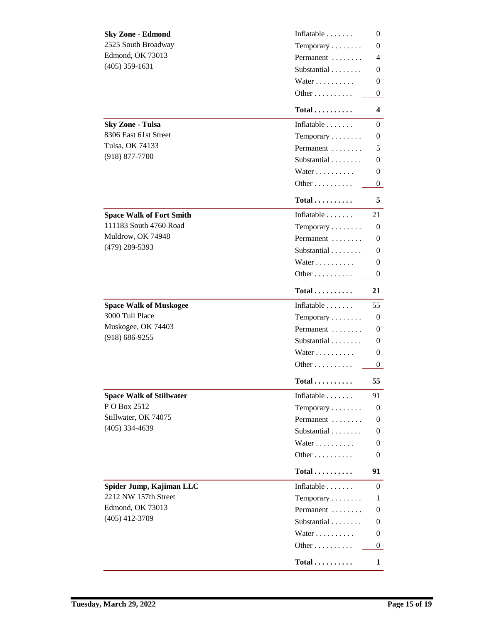| <b>Sky Zone - Edmond</b>        | Inflatable                | 0        |
|---------------------------------|---------------------------|----------|
| 2525 South Broadway             | Temporary                 | 0        |
| <b>Edmond, OK 73013</b>         | Permanent                 | 4        |
| $(405)$ 359-1631                | Substantial               | 0        |
|                                 | Water                     | 0        |
|                                 | Other                     | $\bf{0}$ |
|                                 | $Total \ldots \ldots$     | 4        |
| <b>Sky Zone - Tulsa</b>         | Inflatable $\ldots$       | 0        |
| 8306 East 61st Street           | Temporary                 | 0        |
| <b>Tulsa, OK 74133</b>          | Permanent                 | 5        |
| $(918) 877 - 7700$              | Substantial               | 0        |
|                                 | Water                     | 0        |
|                                 | Other                     | 0        |
|                                 | $Total \dots \dots \dots$ | 5        |
| <b>Space Walk of Fort Smith</b> | Inflatable $\ldots$       | 21       |
| 111183 South 4760 Road          | Temporary                 | 0        |
| Muldrow, OK 74948               | Permanent                 | 0        |
| $(479)$ 289-5393                | Substantial               | 0        |
|                                 | Water                     | 0        |
|                                 | Other                     | 0        |
|                                 | $Total \dots \dots \dots$ | 21       |
| <b>Space Walk of Muskogee</b>   | Inflatable                | 55       |
| 3000 Tull Place                 | Temporary                 | 0        |
| Muskogee, OK 74403              | Permanent                 | 0        |
| $(918) 686 - 9255$              | Substantial               | 0        |
|                                 | Water                     | 0        |
|                                 | Other                     | 0        |
|                                 | Total                     | 55       |
| <b>Space Walk of Stillwater</b> | Inflatable $\ldots$       | 91       |
| PO Box 2512                     | Temporary                 | 0        |
| Stillwater, OK 74075            | Permanent                 | 0        |
| $(405)$ 334-4639                | Substantial               | 0        |
|                                 | Water                     | 0        |
|                                 | Other                     | 0        |
|                                 | $Total \ldots \ldots$     | 91       |
| Spider Jump, Kajiman LLC        | Inflatable                | 0        |
| 2212 NW 157th Street            | Temporary                 | 1        |
| <b>Edmond, OK 73013</b>         | Permanent                 | 0        |
| $(405)$ 412-3709                | Substantial               | 0        |
|                                 | Water                     | 0        |
|                                 | Other                     | 0        |
|                                 | $Total \ldots \ldots$     | 1        |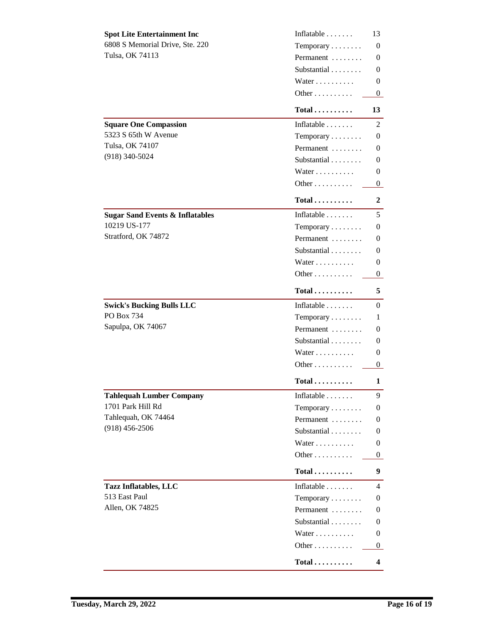| Inflatable<br><b>Spot Lite Entertainment Inc</b>         | 13           |
|----------------------------------------------------------|--------------|
| 6808 S Memorial Drive, Ste. 220<br>Temporary             | 0            |
| <b>Tulsa, OK 74113</b><br>Permanent                      | 0            |
| Substantial                                              | 0            |
| Water                                                    | 0            |
| Other                                                    | $\bf{0}$     |
| $Total \dots \dots \dots$                                | 13           |
| <b>Square One Compassion</b><br>Inflatable               | $\mathbf{2}$ |
| 5323 S 65th W Avenue<br>Temporary                        | 0            |
| <b>Tulsa, OK 74107</b><br>Permanent                      | 0            |
| $(918)$ 340-5024<br>Substantial                          | 0            |
| Water                                                    | 0            |
| Other                                                    | 0            |
| $Total$                                                  | 2            |
| Inflatable<br><b>Sugar Sand Events &amp; Inflatables</b> | 5.           |
| 10219 US-177<br>Temporary                                | 0            |
| Stratford, OK 74872<br>Permanent                         | 0            |
| Substantial                                              | 0            |
| Water                                                    | 0            |
| Other                                                    | $\bf{0}$     |
| $Total \dots \dots \dots$                                | 5.           |
| <b>Swick's Bucking Bulls LLC</b><br>Inflatable           | 0            |
| PO Box 734<br>Temporary                                  | 1            |
| Sapulpa, OK 74067<br>Permanent                           | 0            |
| Substantial                                              | 0            |
| Water                                                    | 0            |
| Other                                                    | $\mathbf{0}$ |
| Total                                                    | 1            |
| <b>Tahlequah Lumber Company</b><br>Inflatable            | 9            |
| 1701 Park Hill Rd<br>Temporary                           | 0            |
| Tahlequah, OK 74464<br>Permanent                         | 0            |
| $(918)$ 456-2506<br>Substantial                          | 0            |
| Water                                                    | 0            |
| Other                                                    | 0            |
| $Total$                                                  | 9            |
| Inflatable<br><b>Tazz Inflatables, LLC</b>               | 4            |
| 513 East Paul<br>Temporary                               | 0            |
| <b>Allen, OK 74825</b><br>Permanent                      | 0            |
| Substantial                                              | 0            |
| Water                                                    | 0            |
| Other                                                    | 0            |
| $Total \ldots \ldots$                                    | 4            |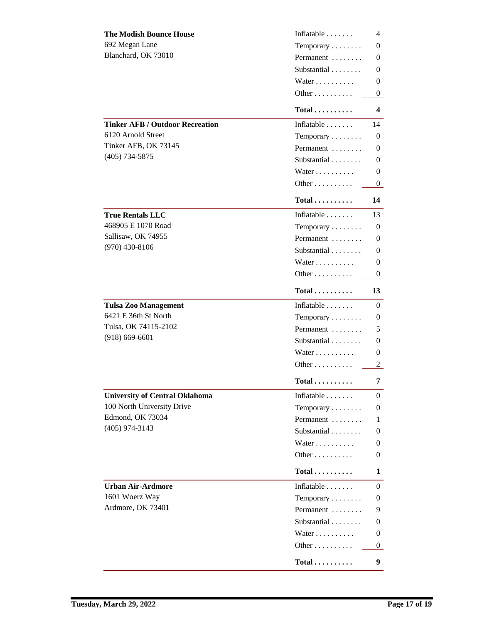| <b>The Modish Bounce House</b>         | Inflatable                   | 4            |
|----------------------------------------|------------------------------|--------------|
| 692 Megan Lane                         | Temporary                    | 0            |
| Blanchard, OK 73010                    | Permanent                    | 0            |
|                                        | Substantial                  | 0            |
|                                        | Water                        | 0            |
|                                        | Other                        | 0            |
|                                        | $Total \dots \dots \dots$    | 4            |
| <b>Tinker AFB / Outdoor Recreation</b> | Inflatable $\ldots \ldots$   | 14           |
| 6120 Arnold Street                     | Temporary                    | 0            |
| Tinker AFB, OK 73145                   | Permanent                    | 0            |
| $(405)$ 734-5875                       | Substantial                  | 0            |
|                                        | Water                        | 0            |
|                                        | Other                        | $\bf{0}$     |
|                                        | $Total \ldots \ldots$        | 14           |
| <b>True Rentals LLC</b>                | Inflatable                   | 13           |
| 468905 E 1070 Road                     | Temporary                    | 0            |
| Sallisaw, OK 74955                     | Permanent                    | 0            |
| $(970)$ 430-8106                       | Substantial                  | 0            |
|                                        | Water                        | 0            |
|                                        | Other                        | $\bf{0}$     |
|                                        | $Total \ldots \ldots \ldots$ | 13           |
| <b>Tulsa Zoo Management</b>            | Inflatable                   | 0            |
| 6421 E 36th St North                   | Temporary                    | 0            |
| Tulsa, OK 74115-2102                   | Permanent                    | 5            |
| $(918) 669 - 6601$                     | Substantial                  | 0            |
|                                        | Water                        | 0            |
|                                        | Other                        | $\mathbf{2}$ |
|                                        | $Total \dots \dots \dots$    | 7            |
| <b>University of Central Oklahoma</b>  | Inflatable                   | 0            |
| <b>100 North University Drive</b>      | Temporary                    | 0            |
| <b>Edmond, OK 73034</b>                | Permanent                    | 1            |
| $(405)$ 974-3143                       | Substantial                  | 0            |
|                                        | Water                        | 0            |
|                                        | Other                        | 0            |
|                                        | $Total \dots \dots \dots$    | 1            |
| <b>Urban Air-Ardmore</b>               | Inflatable                   | 0            |
| 1601 Woerz Way                         | Temporary                    | 0            |
| Ardmore, OK 73401                      | Permanent                    | 9            |
|                                        | Substantial                  | 0            |
|                                        | Water                        | 0            |
|                                        | Other                        | 0            |
|                                        | $Total$                      | 9            |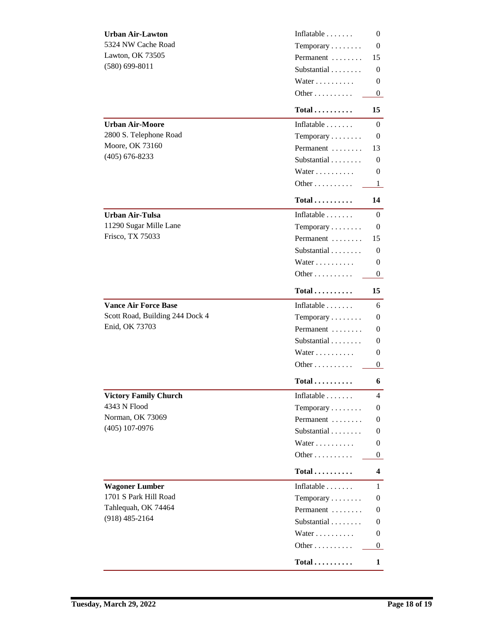| <b>Urban Air-Lawton</b>         | Inflatable                 | 0        |
|---------------------------------|----------------------------|----------|
| 5324 NW Cache Road              | Temporary                  | 0        |
| <b>Lawton, OK 73505</b>         | Permanent                  | 15       |
| $(580)$ 699-8011                | Substantial                | 0        |
|                                 | Water                      | 0        |
|                                 | Other                      | $\bf{0}$ |
|                                 | $Total$                    | 15       |
| <b>Urban Air-Moore</b>          | Inflatable $\ldots$        | 0        |
| 2800 S. Telephone Road          | Temporary                  | 0        |
| <b>Moore, OK 73160</b>          | Permanent                  | 13       |
| $(405)$ 676-8233                | Substantial                | 0        |
|                                 | Water                      | 0        |
|                                 | Other                      | 1        |
|                                 | Total                      | 14       |
| <b>Urban Air-Tulsa</b>          | Inflatable $\ldots$        | 0        |
| 11290 Sugar Mille Lane          | Temporary                  | 0        |
| Frisco, TX 75033                | Permanent                  | 15       |
|                                 | Substantial                | 0        |
|                                 | Water                      | 0        |
|                                 | Other                      | $\bf{0}$ |
|                                 | $Total$                    | 15       |
| <b>Vance Air Force Base</b>     | Inflatable $\ldots \ldots$ | 6        |
| Scott Road, Building 244 Dock 4 | Temporary                  | 0        |
| Enid, OK 73703                  | Permanent                  | 0        |
|                                 | Substantial                | 0        |
|                                 | Water                      | 0        |
|                                 | Other                      | 0        |
|                                 | $Total \dots \dots \dots$  | 6        |
| <b>Victory Family Church</b>    | Inflatable                 | 4        |
| <b>4343 N Flood</b>             | Temporary                  | 0        |
| <b>Norman, OK 73069</b>         | Permanent                  | 0        |
| $(405)$ 107-0976                | Substantial                | 0        |
|                                 | Water                      | 0        |
|                                 | Other                      | 0        |
|                                 | Total                      | 4        |
| <b>Wagoner Lumber</b>           | Inflatable $\ldots \ldots$ | 1        |
| 1701 S Park Hill Road           | Temporary                  | 0        |
| Tahlequah, OK 74464             | Permanent                  | 0        |
| $(918)$ 485-2164                | Substantial                | 0        |
|                                 | Water                      | 0        |
|                                 | Other                      | 0        |
|                                 | $Total \dots \dots \dots$  | 1        |